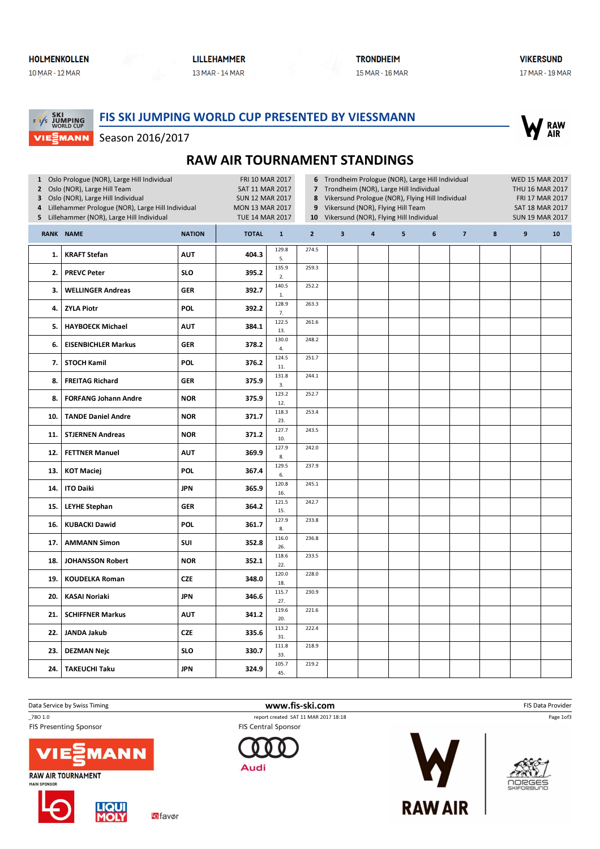MANN

 $\frac{1}{2}$ 

# **LILLEHAMMER**

13 MAR - 14 MAR

Season 2016/2017

**TRONDHEIM** 15 MAR - 16 MAR **VIKERSUND** 17 MAR - 19 MAR

#### FIS SKI JUMPING WORLD CUP PRESENTED BY VIESSMANN **SKI<br>JUMPING**<br>WORLD CUP



## RAW AIR TOURNAMENT STANDINGS

| 1 Oslo Prologue (NOR), Large Hill Individual<br>2 Oslo (NOR), Large Hill Team<br>Oslo (NOR), Large Hill Individual<br>3<br>Lillehammer Prologue (NOR), Large Hill Individual<br>4<br>Lillehammer (NOR), Large Hill Individual<br>5 |                             |               | FRI 10 MAR 2017<br>SAT 11 MAR 2017<br><b>SUN 12 MAR 2017</b><br><b>MON 13 MAR 2017</b><br><b>TUE 14 MAR 2017</b> |                       | 8<br>9<br>10   | 6 Trondheim Prologue (NOR), Large Hill Individual<br>7 Trondheim (NOR), Large Hill Individual<br>Vikersund Prologue (NOR), Flying Hill Individual<br>Vikersund (NOR), Flying Hill Team<br>Vikersund (NOR), Flying Hill Individual |                         | <b>WED 15 MAR 2017</b><br>THU 16 MAR 2017<br>FRI 17 MAR 2017<br>SAT 18 MAR 2017<br><b>SUN 19 MAR 2017</b> |                  |                |        |   |    |
|------------------------------------------------------------------------------------------------------------------------------------------------------------------------------------------------------------------------------------|-----------------------------|---------------|------------------------------------------------------------------------------------------------------------------|-----------------------|----------------|-----------------------------------------------------------------------------------------------------------------------------------------------------------------------------------------------------------------------------------|-------------------------|-----------------------------------------------------------------------------------------------------------|------------------|----------------|--------|---|----|
| RANK NAME                                                                                                                                                                                                                          |                             | <b>NATION</b> | <b>TOTAL</b>                                                                                                     | $\mathbf{1}$          | $\overline{2}$ | $\overline{\mathbf{3}}$                                                                                                                                                                                                           | $\overline{\mathbf{4}}$ | 5                                                                                                         | $\boldsymbol{6}$ | $\overline{7}$ | $\bf8$ | 9 | 10 |
| 1.                                                                                                                                                                                                                                 | <b>KRAFT Stefan</b>         | <b>AUT</b>    | 404.3                                                                                                            | 129.8<br>5.           | 274.5          |                                                                                                                                                                                                                                   |                         |                                                                                                           |                  |                |        |   |    |
| 2.                                                                                                                                                                                                                                 | <b>PREVC Peter</b>          | <b>SLO</b>    | 395.2                                                                                                            | 135.9<br>2.           | 259.3          |                                                                                                                                                                                                                                   |                         |                                                                                                           |                  |                |        |   |    |
| 3.                                                                                                                                                                                                                                 | <b>WELLINGER Andreas</b>    | <b>GER</b>    | 392.7                                                                                                            | 140.5<br>1.           | 252.2          |                                                                                                                                                                                                                                   |                         |                                                                                                           |                  |                |        |   |    |
| 4.                                                                                                                                                                                                                                 | <b>ZYLA Piotr</b>           | <b>POL</b>    | 392.2                                                                                                            | 128.9<br>7.           | 263.3          |                                                                                                                                                                                                                                   |                         |                                                                                                           |                  |                |        |   |    |
| 5.                                                                                                                                                                                                                                 | <b>HAYBOECK Michael</b>     | <b>AUT</b>    | 384.1                                                                                                            | 122.5<br>13.          | 261.6          |                                                                                                                                                                                                                                   |                         |                                                                                                           |                  |                |        |   |    |
| 6.                                                                                                                                                                                                                                 | <b>EISENBICHLER Markus</b>  | GER           | 378.2                                                                                                            | 130.0<br>4.           | 248.2          |                                                                                                                                                                                                                                   |                         |                                                                                                           |                  |                |        |   |    |
| 7.                                                                                                                                                                                                                                 | <b>STOCH Kamil</b>          | <b>POL</b>    | 376.2                                                                                                            | 124.5<br>11.          | 251.7          |                                                                                                                                                                                                                                   |                         |                                                                                                           |                  |                |        |   |    |
| 8.                                                                                                                                                                                                                                 | <b>FREITAG Richard</b>      | GER           | 375.9                                                                                                            | 131.8<br>3.           | 244.1          |                                                                                                                                                                                                                                   |                         |                                                                                                           |                  |                |        |   |    |
| 8.                                                                                                                                                                                                                                 | <b>FORFANG Johann Andre</b> | <b>NOR</b>    | 375.9                                                                                                            | 123.2<br>12.          | 252.7          |                                                                                                                                                                                                                                   |                         |                                                                                                           |                  |                |        |   |    |
| 10.                                                                                                                                                                                                                                | <b>TANDE Daniel Andre</b>   | <b>NOR</b>    | 371.7                                                                                                            | 118.3<br>23.          | 253.4          |                                                                                                                                                                                                                                   |                         |                                                                                                           |                  |                |        |   |    |
| 11.                                                                                                                                                                                                                                | <b>STJERNEN Andreas</b>     | <b>NOR</b>    | 371.2                                                                                                            | 127.7<br>10.          | 243.5          |                                                                                                                                                                                                                                   |                         |                                                                                                           |                  |                |        |   |    |
| 12.                                                                                                                                                                                                                                | <b>FETTNER Manuel</b>       | <b>AUT</b>    | 369.9                                                                                                            | 127.9<br>8.           | 242.0          |                                                                                                                                                                                                                                   |                         |                                                                                                           |                  |                |        |   |    |
| 13.                                                                                                                                                                                                                                | <b>KOT Maciej</b>           | <b>POL</b>    | 367.4                                                                                                            | 129.5<br>6.           | 237.9          |                                                                                                                                                                                                                                   |                         |                                                                                                           |                  |                |        |   |    |
| 14.                                                                                                                                                                                                                                | <b>ITO Daiki</b>            | JPN           | 365.9                                                                                                            | 120.8<br>16.          | 245.1          |                                                                                                                                                                                                                                   |                         |                                                                                                           |                  |                |        |   |    |
| 15.                                                                                                                                                                                                                                | <b>LEYHE Stephan</b>        | GER           | 364.2                                                                                                            | 121.5<br>15.          | 242.7          |                                                                                                                                                                                                                                   |                         |                                                                                                           |                  |                |        |   |    |
| 16.                                                                                                                                                                                                                                | <b>KUBACKI Dawid</b>        | <b>POL</b>    | 361.7                                                                                                            | 127.9<br>8.           | 233.8          |                                                                                                                                                                                                                                   |                         |                                                                                                           |                  |                |        |   |    |
| 17.                                                                                                                                                                                                                                | <b>AMMANN Simon</b>         | SUI           | 352.8                                                                                                            | 116.0<br>26.          | 236.8          |                                                                                                                                                                                                                                   |                         |                                                                                                           |                  |                |        |   |    |
| 18.                                                                                                                                                                                                                                | <b>JOHANSSON Robert</b>     | <b>NOR</b>    | 352.1                                                                                                            | 118.6<br>22.          | 233.5          |                                                                                                                                                                                                                                   |                         |                                                                                                           |                  |                |        |   |    |
| 19.                                                                                                                                                                                                                                | <b>KOUDELKA Roman</b>       | CZE           | 348.0                                                                                                            | 120.0<br>18.          | 228.0          |                                                                                                                                                                                                                                   |                         |                                                                                                           |                  |                |        |   |    |
| 20.                                                                                                                                                                                                                                | <b>KASAI Noriaki</b>        | JPN           | 346.6                                                                                                            | 115.7<br>27.          | 230.9          |                                                                                                                                                                                                                                   |                         |                                                                                                           |                  |                |        |   |    |
| 21.                                                                                                                                                                                                                                | <b>SCHIFFNER Markus</b>     | AUT           | 341.2                                                                                                            | 119.6<br>20.          | 221.6          |                                                                                                                                                                                                                                   |                         |                                                                                                           |                  |                |        |   |    |
| 22.                                                                                                                                                                                                                                | <b>JANDA Jakub</b>          | <b>CZE</b>    | 335.6                                                                                                            | 113.2<br>31.<br>111.8 | 222.4          |                                                                                                                                                                                                                                   |                         |                                                                                                           |                  |                |        |   |    |
| 23.                                                                                                                                                                                                                                | <b>DEZMAN Nejc</b>          | <b>SLO</b>    | 330.7                                                                                                            | 33.                   | 218.9          |                                                                                                                                                                                                                                   |                         |                                                                                                           |                  |                |        |   |    |
| 24.                                                                                                                                                                                                                                | <b>TAKEUCHI Taku</b>        | <b>JPN</b>    | 324.9                                                                                                            | 105.7<br>45.          | 219.2          |                                                                                                                                                                                                                                   |                         |                                                                                                           |                  |                |        |   |    |

Data Service by Swiss Timing **EXECUTE:** The Same of the WWW.fis-ski.com **EXECUTE:** FIS Data Provider

**FIS Presenting Sponsor** 



**LIQUI**<br>MOLY





\_78O 1.0 report created SAT 11 MAR 2017 18:18

**FIS Central Sponsor** 







Page 1of3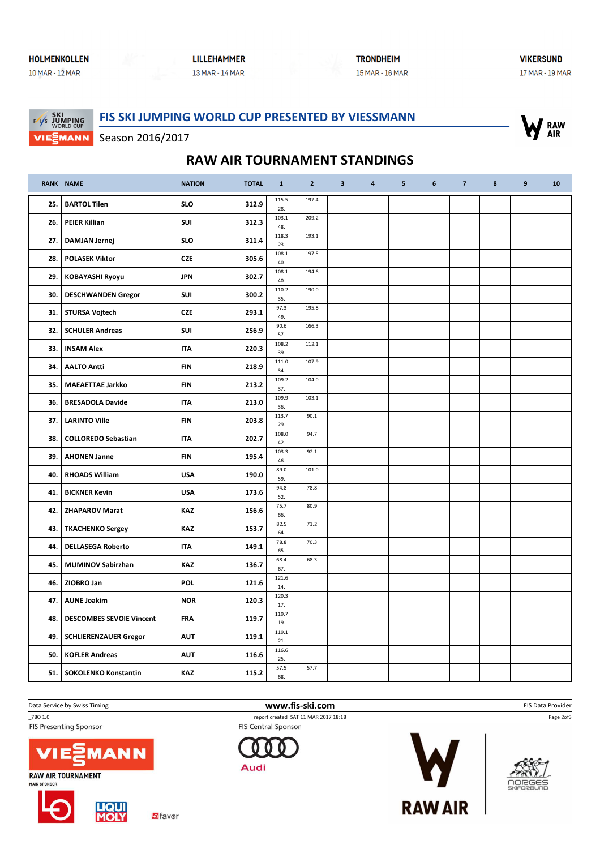### **HOLMENKOLLEN** 10 MAR - 12 MAR

MANN

### **LILLEHAMMER** 13 MAR - 14 MAR

**TRONDHEIM** 15 MAR - 16 MAR **VIKERSUND** 17 MAR - 19 MAR

#### FIS SKI JUMPING WORLD CUP PRESENTED BY VIESSMANN **SKI<br>JUMPING**<br>WORLD CUP  $\frac{1}{2}$



Season 2016/2017

## RAW AIR TOURNAMENT STANDINGS

|     | RANK NAME                       | <b>NATION</b> | <b>TOTAL</b> | $\mathbf{1}$ | $\overline{2}$ | $\overline{\mathbf{3}}$ | $\overline{4}$ | 5 | 6 | $\overline{7}$ | 8 | 9 | 10 |
|-----|---------------------------------|---------------|--------------|--------------|----------------|-------------------------|----------------|---|---|----------------|---|---|----|
| 25. | <b>BARTOL Tilen</b>             | <b>SLO</b>    | 312.9        | 115.5<br>28. | 197.4          |                         |                |   |   |                |   |   |    |
| 26. | <b>PEIER Killian</b>            | SUI           | 312.3        | 103.1<br>48. | 209.2          |                         |                |   |   |                |   |   |    |
| 27. | <b>DAMJAN Jernej</b>            | <b>SLO</b>    | 311.4        | 118.3<br>23. | 193.1          |                         |                |   |   |                |   |   |    |
| 28. | <b>POLASEK Viktor</b>           | <b>CZE</b>    | 305.6        | 108.1<br>40. | 197.5          |                         |                |   |   |                |   |   |    |
| 29. | <b>KOBAYASHI Ryoyu</b>          | <b>JPN</b>    | 302.7        | 108.1<br>40. | 194.6          |                         |                |   |   |                |   |   |    |
| 30. | <b>DESCHWANDEN Gregor</b>       | SUI           | 300.2        | 110.2<br>35. | 190.0          |                         |                |   |   |                |   |   |    |
| 31. | <b>STURSA Vojtech</b>           | <b>CZE</b>    | 293.1        | 97.3<br>49.  | 195.8          |                         |                |   |   |                |   |   |    |
| 32. | <b>SCHULER Andreas</b>          | SUI           | 256.9        | 90.6<br>57.  | 166.3          |                         |                |   |   |                |   |   |    |
| 33. | <b>INSAM Alex</b>               | <b>ITA</b>    | 220.3        | 108.2<br>39. | 112.1          |                         |                |   |   |                |   |   |    |
| 34. | <b>AALTO Antti</b>              | <b>FIN</b>    | 218.9        | 111.0<br>34. | 107.9          |                         |                |   |   |                |   |   |    |
| 35. | <b>MAEAETTAE Jarkko</b>         | <b>FIN</b>    | 213.2        | 109.2<br>37. | 104.0          |                         |                |   |   |                |   |   |    |
| 36. | <b>BRESADOLA Davide</b>         | <b>ITA</b>    | 213.0        | 109.9<br>36. | 103.1          |                         |                |   |   |                |   |   |    |
| 37. | <b>LARINTO Ville</b>            | <b>FIN</b>    | 203.8        | 113.7<br>29. | 90.1           |                         |                |   |   |                |   |   |    |
| 38. | <b>COLLOREDO Sebastian</b>      | <b>ITA</b>    | 202.7        | 108.0<br>42. | 94.7           |                         |                |   |   |                |   |   |    |
| 39. | <b>AHONEN Janne</b>             | <b>FIN</b>    | 195.4        | 103.3<br>46. | 92.1           |                         |                |   |   |                |   |   |    |
| 40. | <b>RHOADS William</b>           | <b>USA</b>    | 190.0        | 89.0<br>59.  | 101.0          |                         |                |   |   |                |   |   |    |
| 41. | <b>BICKNER Kevin</b>            | <b>USA</b>    | 173.6        | 94.8<br>52.  | 78.8           |                         |                |   |   |                |   |   |    |
| 42. | <b>ZHAPAROV Marat</b>           | <b>KAZ</b>    | 156.6        | 75.7<br>66.  | 80.9           |                         |                |   |   |                |   |   |    |
| 43. | <b>TKACHENKO Sergey</b>         | <b>KAZ</b>    | 153.7        | 82.5<br>64.  | 71.2           |                         |                |   |   |                |   |   |    |
| 44. | <b>DELLASEGA Roberto</b>        | <b>ITA</b>    | 149.1        | 78.8<br>65.  | 70.3           |                         |                |   |   |                |   |   |    |
| 45. | <b>MUMINOV Sabirzhan</b>        | <b>KAZ</b>    | 136.7        | 68.4<br>67.  | 68.3           |                         |                |   |   |                |   |   |    |
| 46. | ZIOBRO Jan                      | <b>POL</b>    | 121.6        | 121.6<br>14. |                |                         |                |   |   |                |   |   |    |
| 47. | <b>AUNE Joakim</b>              | <b>NOR</b>    | 120.3        | 120.3<br>17. |                |                         |                |   |   |                |   |   |    |
| 48. | <b>DESCOMBES SEVOIE Vincent</b> | <b>FRA</b>    | 119.7        | 119.7<br>19. |                |                         |                |   |   |                |   |   |    |
| 49. | <b>SCHLIERENZAUER Gregor</b>    | <b>AUT</b>    | 119.1        | 119.1<br>21. |                |                         |                |   |   |                |   |   |    |
| 50. | <b>KOFLER Andreas</b>           | <b>AUT</b>    | 116.6        | 116.6<br>25. |                |                         |                |   |   |                |   |   |    |
| 51. | <b>SOKOLENKO Konstantin</b>     | <b>KAZ</b>    | 115.2        | 57.5<br>68.  | 57.7           |                         |                |   |   |                |   |   |    |

Data Service by Swiss Timing **EXECUTE:** The Same of the WWW.fis-ski.com **EXECUTE:** FIS Data Provider

**FIS Presenting Sponsor** 



**LIQUI**<br>MOLY

**RAW AIR TOURNAMENT MAIN SPONSOR** 





\_78O 1.0 report created SAT 11 MAR 2017 18:18 **FIS Central Sponsor** 







OORGES